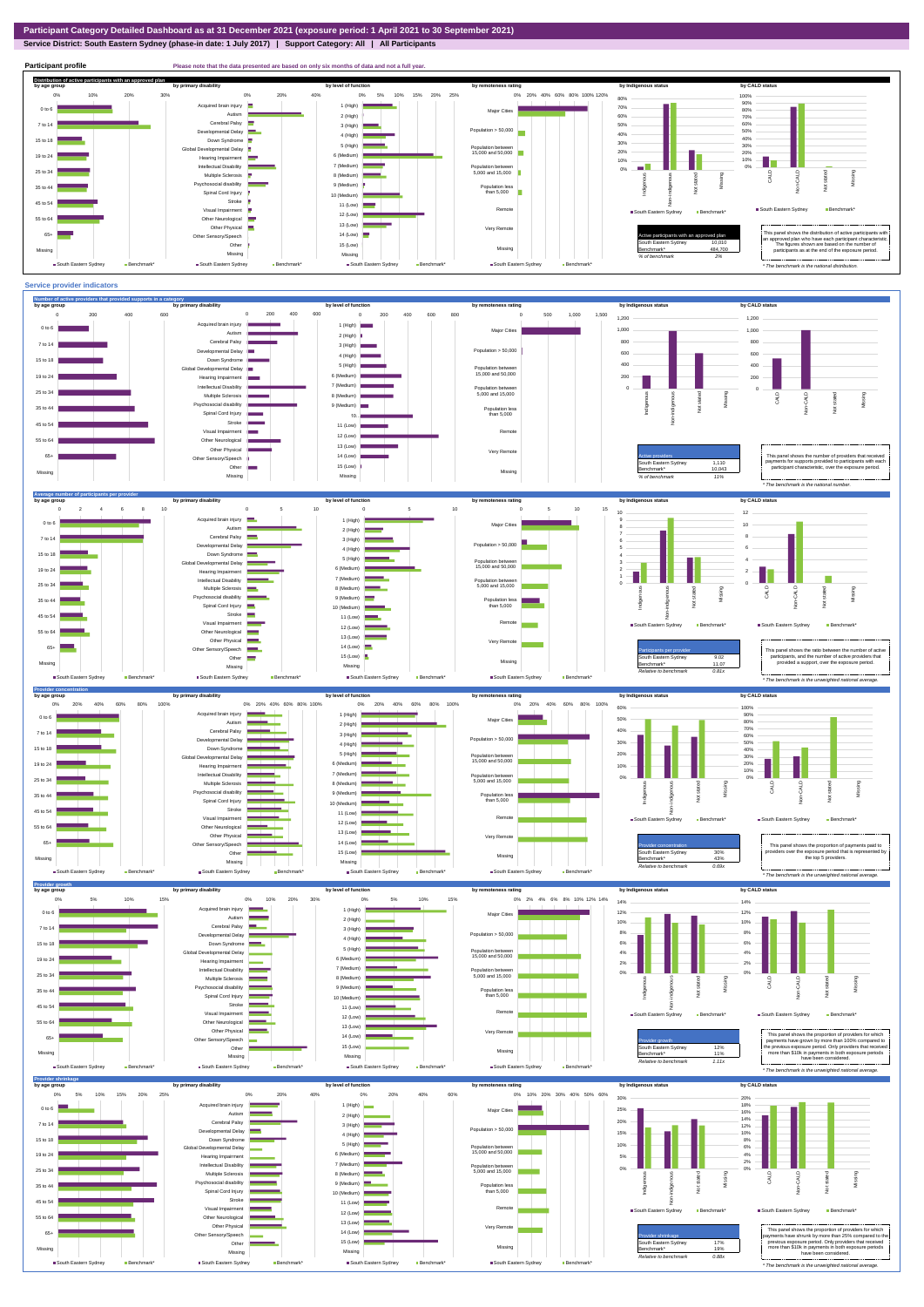**Service District: South Eastern Sydney (phase-in date: 1 July 2017) | Support Category: All | All Participants**



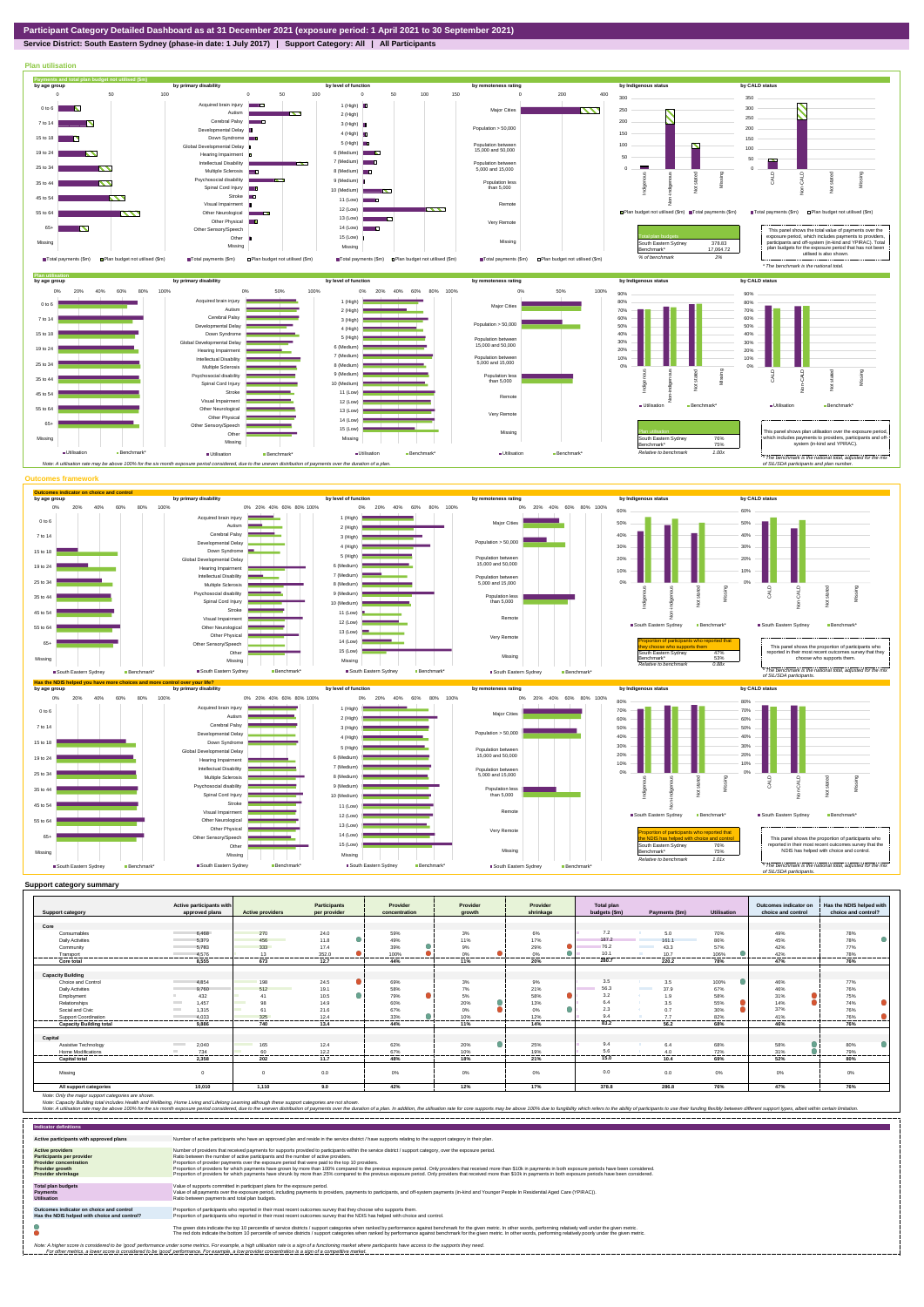**Service District: South Eastern Sydney (phase-in date: 1 July 2017) | Support Category: All | All Participants**



|                                | Active participants with                                                                                                                                                                                                                      |                                  | <b>Participants</b> | Provider      | Provider                | Provider  | <b>Total plan</b> |                                  |                    | Outcomes indicator on<br>choice and control | Has the NDIS helped with |
|--------------------------------|-----------------------------------------------------------------------------------------------------------------------------------------------------------------------------------------------------------------------------------------------|----------------------------------|---------------------|---------------|-------------------------|-----------|-------------------|----------------------------------|--------------------|---------------------------------------------|--------------------------|
| <b>Support category</b>        | approved plans                                                                                                                                                                                                                                | <b>Active providers</b>          | per provider        | concentration | growth                  | shrinkage | budgets (\$m)     | Payments (\$m)                   | <b>Utilisation</b> |                                             | choice and control?      |
| Core                           |                                                                                                                                                                                                                                               |                                  |                     |               |                         |           |                   |                                  |                    |                                             |                          |
| Consumables                    | 6.468                                                                                                                                                                                                                                         | 270                              | 24.0                | 59%           | 3%                      | 6%        | 7.2               | 5.0                              | 70%                | 49%                                         | 78%                      |
| <b>Daily Activities</b>        | 5,379                                                                                                                                                                                                                                         | 456                              | 11.8                | 49%           | 11%                     | 17%       | 187.2             | 161.1                            | 86%                | 45%                                         | 78%                      |
| Community                      | 5.783                                                                                                                                                                                                                                         | 333                              | 17.4                | 39%           | 9%                      | 29%       | 76.2              | 43.3<br><b>Contract Contract</b> | 57%                | 42%                                         | 77%                      |
|                                |                                                                                                                                                                                                                                               |                                  |                     |               |                         |           | 10.1              |                                  |                    |                                             |                          |
| Transport<br>-----------       | 4.576<br>--------------                                                                                                                                                                                                                       | 13<br>.                          | 352.0<br>.<br>.     | 100%<br>.<br> | $0\%$<br>---------<br>. | 0%<br>.   | 280.7             | 10.7<br>----------               | 106%<br>.          | 42%<br>.                                    | 78%<br>---------         |
| Core total                     | 8,555                                                                                                                                                                                                                                         | 673                              | 12.7                | 44%           | 11%                     | 20%       |                   | 220.2                            | 78%                | 47%                                         | 76%                      |
|                                |                                                                                                                                                                                                                                               |                                  |                     |               |                         |           |                   |                                  |                    |                                             |                          |
| <b>Capacity Building</b>       |                                                                                                                                                                                                                                               |                                  |                     |               |                         |           |                   |                                  |                    |                                             |                          |
| Choice and Control             | 4.854                                                                                                                                                                                                                                         | 198                              | 24.5                | 69%           | 3%                      | 9%        | 3.5               | 3.5                              | 100%               | 46%                                         | 77%                      |
| <b>Daily Activities</b>        | 9.760                                                                                                                                                                                                                                         | 512                              | 19.1                | 58%           | 7%                      | 21%       | 56.3              | 37.9<br><b>Contract Contract</b> | 67%                | 46%                                         | 76%                      |
| Employment                     | 432                                                                                                                                                                                                                                           | 41                               | 10.5                | 79%           | 5%                      | 58%       | 3.2               | 1.9<br>- 31                      | 58%                | 31%                                         | 75%                      |
| Relationships                  | 1.457<br><b>The Contract of Contract of the Contract of Contract of the Contract of Contract of The Contract of The Contract of The Contract of The Contract of The Contract of The Contract of The Contract of The Contract of The Contr</b> | 98<br>$\mathcal{L}(\mathcal{A})$ | 14.9                | 60%           | 20%                     | 13%       | 6.4               | 3.5                              | 55%                | 14%                                         | 74%                      |
| Social and Civic               | <b>Contract</b><br>1.315                                                                                                                                                                                                                      | 61                               | 21.6                | 67%           | 0%                      | 0%        | 2.3               | 0.7                              | 30%                | 37%                                         | 76%                      |
| Support Coordination           | 4.033                                                                                                                                                                                                                                         | 325                              | 12.4                | 33%           | 10%                     | 12%       | 9.4               | 77                               | 82%                | 41%                                         | 76%                      |
| <b>Capacity Building total</b> | 9.886                                                                                                                                                                                                                                         | 740                              | 13.4                | 44%           | 11%                     | 14%       | 83.2              | 56.2                             | 68%                | 46%                                         | 76%                      |
|                                |                                                                                                                                                                                                                                               |                                  |                     |               |                         |           |                   |                                  |                    |                                             |                          |
| Capital                        |                                                                                                                                                                                                                                               |                                  |                     |               |                         |           |                   |                                  |                    |                                             |                          |
| Assistive Technology           | <b>Contract Contract</b><br>2.040                                                                                                                                                                                                             | 165<br><b>Contract Contract</b>  | 12.4                | 62%           | 20%                     | 25%       | 9.4               | 6.4                              | 68%                | 58%                                         | 80%                      |
| Home Modifications             | 734                                                                                                                                                                                                                                           | 60                               | 12.2                | 67%           | 10%                     | 19%       | 5.6               | 4.0                              | 72%                | 31%                                         | 79%                      |
| <b>Capital total</b>           | 2.358                                                                                                                                                                                                                                         | 202                              | 11.7                | 48%           | 18%                     | 21%       | 15.0              | 10.4                             | 69%                | ------<br>52%                               | 80%                      |
|                                |                                                                                                                                                                                                                                               |                                  |                     |               |                         |           |                   |                                  |                    |                                             |                          |
| Missing                        |                                                                                                                                                                                                                                               | $\Omega$                         | 0.0                 | 0%            | $0\%$                   | 0%        | 0.0               | 0.0                              | $0\%$              | 0%                                          | 0%                       |
|                                |                                                                                                                                                                                                                                               |                                  |                     |               |                         |           |                   |                                  |                    |                                             |                          |
| All support categories         | 10,010                                                                                                                                                                                                                                        | 1,110                            | 9.0                 | 42%           | 12%                     | 17%       | 378.8             | 286.8                            | 76%                | 47%                                         | 76%                      |

Note: Only the major support categories are shown.<br>Note: Capacity Building total individual Wellbeing, Home Living and Lifelong Learning although these support categories are not shown.<br>Note: A utilisation rate may be abov

| <b>Indicator definitions</b>                                                                                                                                                                                                                                                                                                                                              |                                                                                                                                                                                                                                                                                                                                                                                                                                                                                                                                                                                                                                                                                                                                                                                                                 |  |  |  |  |
|---------------------------------------------------------------------------------------------------------------------------------------------------------------------------------------------------------------------------------------------------------------------------------------------------------------------------------------------------------------------------|-----------------------------------------------------------------------------------------------------------------------------------------------------------------------------------------------------------------------------------------------------------------------------------------------------------------------------------------------------------------------------------------------------------------------------------------------------------------------------------------------------------------------------------------------------------------------------------------------------------------------------------------------------------------------------------------------------------------------------------------------------------------------------------------------------------------|--|--|--|--|
| Active participants with approved plans                                                                                                                                                                                                                                                                                                                                   | Number of active participants who have an approved plan and reside in the service district / have supports relating to the support category in their plan.                                                                                                                                                                                                                                                                                                                                                                                                                                                                                                                                                                                                                                                      |  |  |  |  |
| <b>Active providers</b><br><b>Participants per provider</b><br><b>Provider concentration</b><br><b>Provider growth</b><br><b>Provider shrinkage</b>                                                                                                                                                                                                                       | Number of providers that received payments for supports provided to participants within the service district / support category, over the exposure period.<br>Ratio between the number of active participants and the number of active providers.<br>Proportion of provider payments over the exposure period that were paid to the top 10 providers.<br>Proportion of providers for which payments have grown by more than 100% compared to the previous exposure period. Only providers that received more than \$10k in payments in both exposure periods have been considered.<br>Proportion of providers for which payments have shrunk by more than 25% compared to the previous exposure period. Only providers that received more than \$10k in payments in both exposure periods have been considered. |  |  |  |  |
| <b>Total plan budgets</b><br><b>Payments</b><br><b>Utilisation</b>                                                                                                                                                                                                                                                                                                        | Value of supports committed in participant plans for the exposure period.<br>Value of all payments over the exposure period, including payments to providers, payments to participants, and off-system payments (in-kind and Younger People In Residential Aged Care (YPIRAC)).<br>Ratio between payments and total plan budgets.                                                                                                                                                                                                                                                                                                                                                                                                                                                                               |  |  |  |  |
| Outcomes indicator on choice and control<br>Has the NDIS helped with choice and control?                                                                                                                                                                                                                                                                                  | Proportion of participants who reported in their most recent outcomes survey that they choose who supports them.<br>Proportion of participants who reported in their most recent outcomes survey that the NDIS has helped with choice and control.                                                                                                                                                                                                                                                                                                                                                                                                                                                                                                                                                              |  |  |  |  |
|                                                                                                                                                                                                                                                                                                                                                                           | The green dots indicate the top 10 percentile of service districts / support categories when ranked by performance against benchmark for the given metric. In other words, performing relatively well under the given metric.<br>The red dots indicate the bottom 10 percentile of service districts / support categories when ranked by performance against benchmark for the given metric. In other words, performing relatively poorly under the given metri                                                                                                                                                                                                                                                                                                                                                 |  |  |  |  |
| Note: A higher score is considered to be 'good' performance under some metrics. For example, a high utilisation rate is a sign of a functioning market where participants have access to the supports they need.<br>For other metrics, a lower score is considered to be 'good' performance. For example, a low provider concentration is a sign of a competitive market. |                                                                                                                                                                                                                                                                                                                                                                                                                                                                                                                                                                                                                                                                                                                                                                                                                 |  |  |  |  |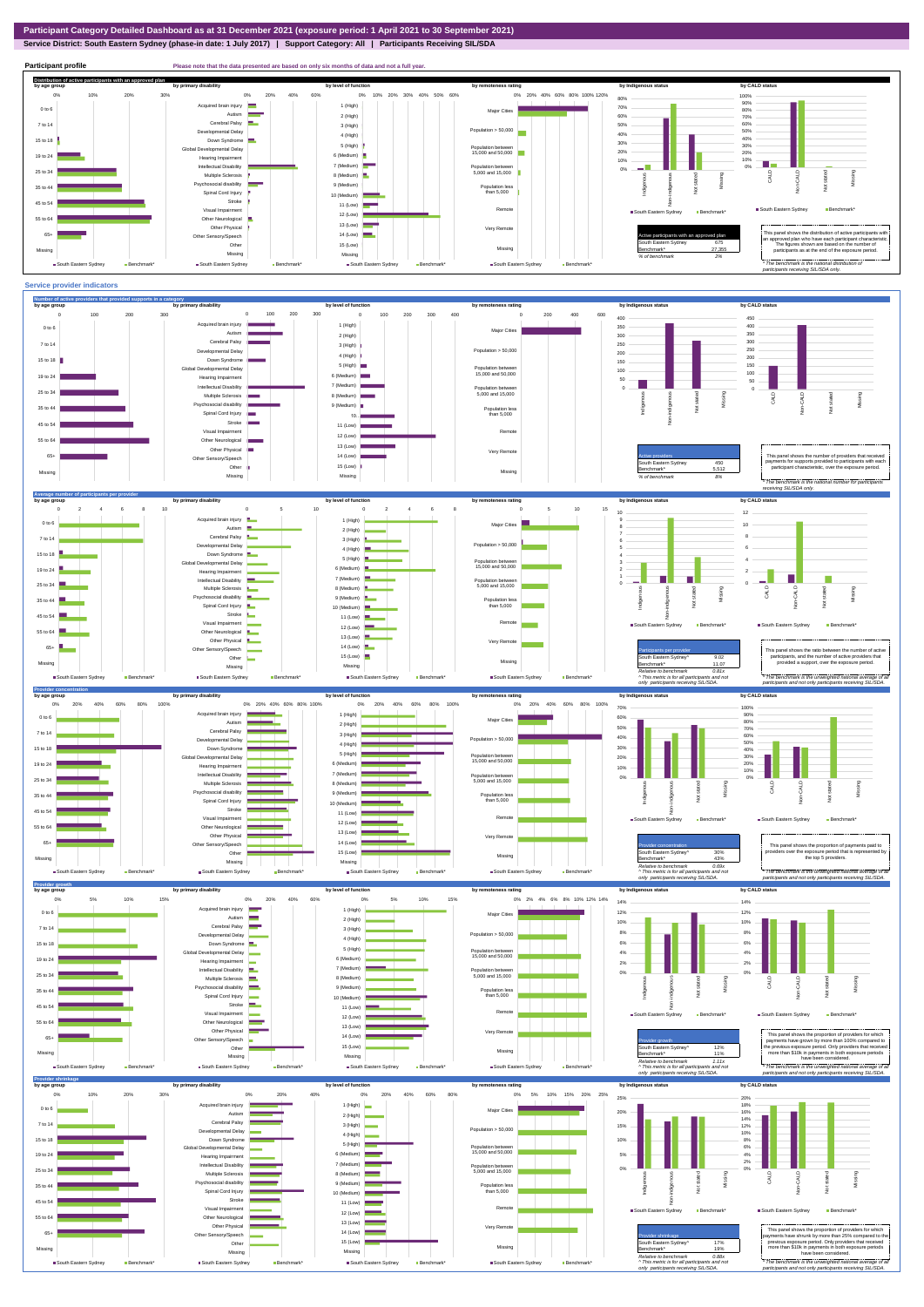## **Service District: South Eastern Sydney (phase-in date: 1 July 2017) | Support Category: All | Participants Receiving SIL/SDA**



**Participant profile Please note that the data presented are based on only six months of data and not a full yer. Distribution of active participants with an approved plan** by age group by primary disability by remoteness rating by hdigenous status by CALD status 0% 20% 40% 60% 80% 100% 120% 0% 10% 20% 30% 40% 50% 60% 0% 10% 20% 30% 0% 20% 40% 60% 80% 100% Acquired brain injury 90% 1 (High) 70% 0 to 6 Major Cities 80% Autism **Designation** 2 (High) 60% 70% Cerebral Palsy 60% 7 to 14 50% 3 (High) nental Delay Population > 50,000 m 40% 40% 50% 4 (High) 15 to 18 Down Syndrome 30% 5 (High) 30% evelopmental Delay Population between 15,000 and 50,000 20% 20% 6 (Medium) 19 to 24 Hearing Impairment 10% 10% п 7 (Medium) Intellectual Disability 0% Population between 5,000 and 15,000 0% Missing 25 to 34 Multiple Sclerosis 8 (Medium) CALD Non-CALD ndiaenous Non-indigenous **Cial disability** Missing Indigeno 9 (Medium) 35 to 4 Population less than 5,000 nstated in 1916.<br>Note  $\overline{z}$ Spinal Cord Injury 10 (Medium) Stroke 45 to 54 å 11 (Low) South Eastern Sydney Benchmark Visual Impairment Remot South Eastern Sydney Benchmark 12 (Low) 55 to 64 Other Neurological 13 (Low) Other Physical Very Remote 14 (Low) **12** Active participants with an approved plan This panel shows the distribution of active participants with an approved plan who have each participant characteristic. 65+ Sensory/Speech Other 15 (Low) South Eastern Sydney 675 The figures shown are based on the number of participants as at the end of the exposure period. Missing Benchmark\* 27,355 Missing Missing Missing *% of benchmark 2%* ■ South Eastern Sydney Benchmark\* South Eastern Sydney Benchmark South Eastern Sydney Be ■ South Eastern Sydney ■ Bench *\* The benchmark is the national distribution of participants receiving SIL/SDA only.*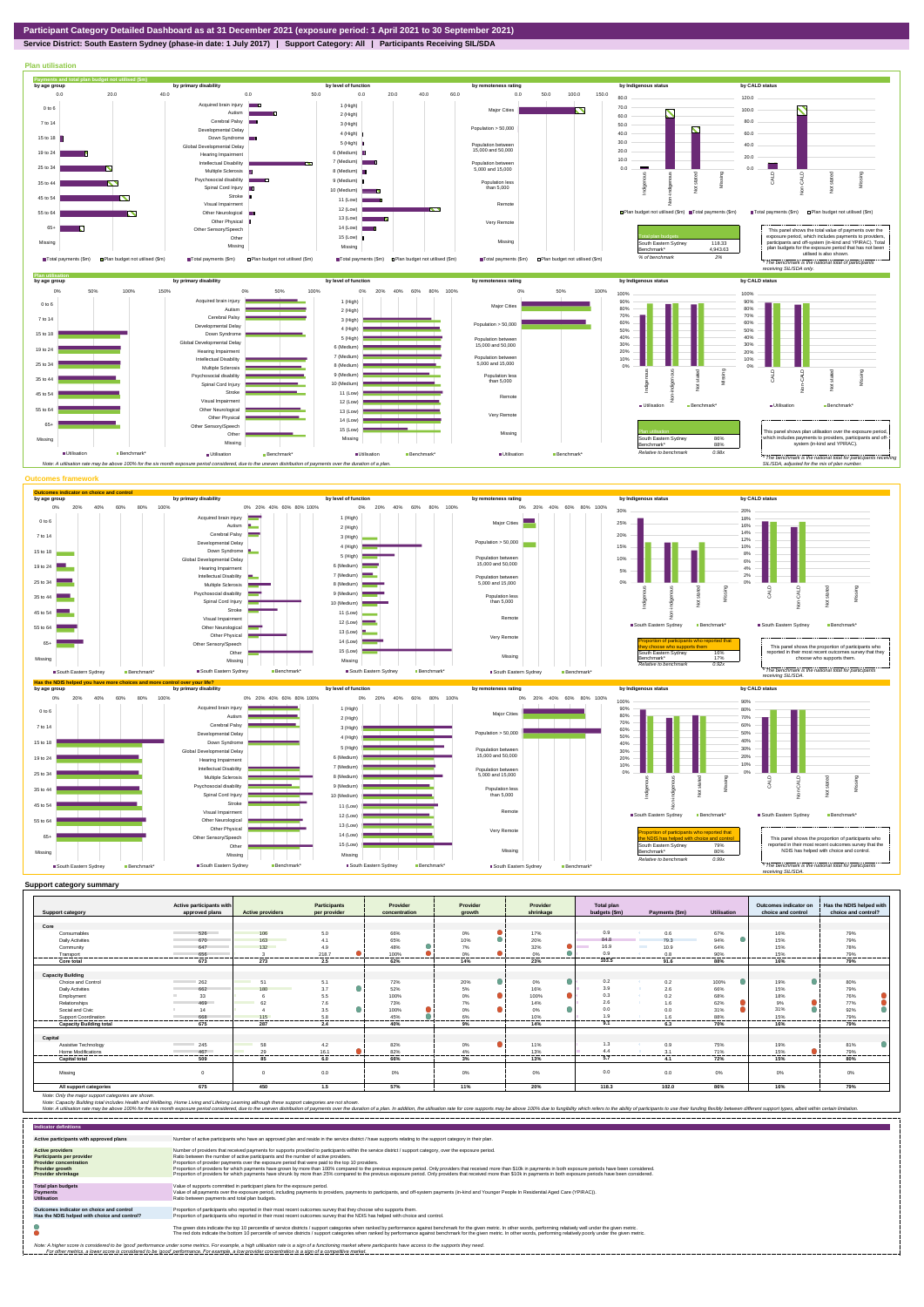## **Service District: South Eastern Sydney (phase-in date: 1 July 2017) | Support Category: All | Participants Receiving SIL/SDA**



| <b>Support category</b>        | Active participants with<br>approved plans | <b>Active providers</b>        | Participants<br>per provider | Provider<br>concentration | Provider<br>arowth | Provider<br>shrinkage | <b>Total plan</b><br>budgets (\$m) | Payments (\$m)        | Utilisation     | Outcomes indicator on<br>choice and control | Has the NDIS helped with<br>choice and control? |
|--------------------------------|--------------------------------------------|--------------------------------|------------------------------|---------------------------|--------------------|-----------------------|------------------------------------|-----------------------|-----------------|---------------------------------------------|-------------------------------------------------|
|                                |                                            |                                |                              |                           |                    |                       |                                    |                       |                 |                                             |                                                 |
| Core                           |                                            |                                |                              |                           |                    |                       |                                    |                       |                 |                                             |                                                 |
| Consumables                    | 526                                        | 106                            | 5.0                          | 66%                       | $0\%$              | 17%                   | 0.9                                | 0.6                   | 67%             | 16%                                         | 79%                                             |
| <b>Daily Activities</b>        | 670                                        | 163                            | 4.1                          | 65%                       | 10%                | 20%                   | 84.8                               | 79.3                  | 94%             | 15%                                         | 79%                                             |
| Community                      | 647                                        | 132                            | 4.9                          | 48%                       | 7%                 | 32%                   | 16.9                               | <b>The Co</b><br>10.9 | 64%             | 15%                                         | 78%                                             |
| Transport                      | 656                                        |                                | 218.7                        | 100%                      | $0\%$              | 0%                    | 0.9                                | 0.8                   | 90%             | 15%                                         | 79%                                             |
| Core total                     | .<br>673                                   | 273                            | --------<br>2.5              | --------<br>62%           | .<br>14%           | <br>23%               | 103.5                              | 91.6                  | ------<br>88%   | <br>16%                                     | --------<br>79%                                 |
|                                |                                            |                                |                              |                           |                    |                       |                                    |                       |                 |                                             |                                                 |
| <b>Capacity Building</b>       |                                            |                                |                              |                           |                    |                       |                                    |                       |                 |                                             |                                                 |
| Choice and Control             | 262                                        | <b>Contract Contract</b><br>51 | 5.1                          | 72%                       | 20%<br>٠           | 0%                    | 0.2                                | 0.2                   | 100%<br>u.      | 19%                                         | 80%                                             |
| <b>Daily Activities</b>        | 662                                        | 180<br><b>Contract</b>         | 3.7                          | 52%                       | 5%                 | 16%                   | 3.9                                | 2.6                   | 66%             | 15%                                         | 79%                                             |
| Employment                     | 33                                         |                                | 5.5                          | 100%                      | $0\%$              | 100%                  | 0.3                                | 0.2<br><b>SALE</b>    | 68%             | 18%                                         | 76%                                             |
| Relationships                  | 469                                        | 62                             | 7.6                          | 73%                       | 7%                 | 14%                   | 2.6                                | 1.6                   | 62%             | 9%                                          | 77%                                             |
| Social and Civic               | 14                                         |                                | 3.5                          | 100%                      | 0%                 | 0%                    | 0.0                                | 0.0                   | 31%             | 31%                                         | 92%                                             |
| Support Coordination           | 668                                        | 115                            | 5.8                          | 45%                       | 6%                 | 10%                   | 10                                 | 1.6                   | 88%             | 15%                                         | 79%                                             |
| <b>Capacity Building total</b> | 675                                        | 287                            | .<br>2.4                     | 40%                       | 9%                 | 14%                   | 9.1                                | 6.3                   | 70%             | 16%                                         | 79%                                             |
|                                |                                            |                                |                              |                           |                    |                       |                                    |                       |                 |                                             |                                                 |
| Capital                        |                                            |                                |                              |                           |                    |                       |                                    |                       |                 |                                             |                                                 |
| Assistive Technology           | 245                                        | 58<br><b>Contract Contract</b> | 4.2                          | 82%                       | 0%                 | 11%                   | 1.3                                | 0.9                   | 75%             | 19%                                         | 81%                                             |
| Home Modifications             | 467                                        | 29                             | 16.1                         | 82%                       | 4%                 | 13%                   | 4.4                                | 3.1                   | 71%             | 15%                                         | 79%                                             |
| <b>Capital total</b>           | <br>509                                    | <br>85                         | ---------<br>6.0             | ------<br>66%             | -------<br>3%      | --------<br>13%       | ---------<br>5.7                   | <br>4.1               | --------<br>72% | -------<br>15%                              | -------<br>80%                                  |
|                                |                                            |                                |                              |                           |                    |                       |                                    |                       |                 |                                             |                                                 |
| Missing                        |                                            | $\Omega$                       | 0.0                          | 0%                        | $0\%$              | 0%                    | 0.0                                | 0.0                   | 0%              | 0%                                          | 0%                                              |
|                                |                                            |                                |                              |                           |                    |                       |                                    |                       |                 |                                             |                                                 |
| All support categories         | 675                                        | 450                            | 1.5                          | 57%                       | 11%                | 20%                   | 118.3                              | 102.0                 | 86%             | 16%                                         | 79%                                             |

Note: Only the major support categories are shown.<br>Note: Capacity Building total individual Wellbeing, Home Living and Lifelong Learning although these support categories are not shown.<br>Note: A utilisation rate may be abov

| <b>Indicator definitions</b>                                                                                                                                                                                                                                                                                                                                              |                                                                                                                                                                                                                                                                                                                                                                                                                                                                                                                                                                                                                                                                                                                                                                                                                 |  |  |  |  |
|---------------------------------------------------------------------------------------------------------------------------------------------------------------------------------------------------------------------------------------------------------------------------------------------------------------------------------------------------------------------------|-----------------------------------------------------------------------------------------------------------------------------------------------------------------------------------------------------------------------------------------------------------------------------------------------------------------------------------------------------------------------------------------------------------------------------------------------------------------------------------------------------------------------------------------------------------------------------------------------------------------------------------------------------------------------------------------------------------------------------------------------------------------------------------------------------------------|--|--|--|--|
| Active participants with approved plans                                                                                                                                                                                                                                                                                                                                   | Number of active participants who have an approved plan and reside in the service district / have supports relating to the support category in their plan.                                                                                                                                                                                                                                                                                                                                                                                                                                                                                                                                                                                                                                                      |  |  |  |  |
| <b>Active providers</b><br><b>Participants per provider</b><br><b>Provider concentration</b><br><b>Provider growth</b><br><b>Provider shrinkage</b>                                                                                                                                                                                                                       | Number of providers that received payments for supports provided to participants within the service district / support category, over the exposure period.<br>Ratio between the number of active participants and the number of active providers.<br>Proportion of provider payments over the exposure period that were paid to the top 10 providers.<br>Proportion of providers for which payments have grown by more than 100% compared to the previous exposure period. Only providers that received more than \$10k in payments in both exposure periods have been considered.<br>Proportion of providers for which payments have shrunk by more than 25% compared to the previous exposure period. Only providers that received more than \$10k in payments in both exposure periods have been considered. |  |  |  |  |
| <b>Total plan budgets</b><br><b>Payments</b><br><b>Utilisation</b>                                                                                                                                                                                                                                                                                                        | Value of supports committed in participant plans for the exposure period.<br>Value of all payments over the exposure period, including payments to providers, payments to participants, and off-system payments (in-kind and Younger People In Residential Aged Care (YPIRAC)).<br>Ratio between payments and total plan budgets.                                                                                                                                                                                                                                                                                                                                                                                                                                                                               |  |  |  |  |
| Outcomes indicator on choice and control<br>Has the NDIS helped with choice and control?                                                                                                                                                                                                                                                                                  | Proportion of participants who reported in their most recent outcomes survey that they choose who supports them.<br>Proportion of participants who reported in their most recent outcomes survey that the NDIS has helped with choice and control.                                                                                                                                                                                                                                                                                                                                                                                                                                                                                                                                                              |  |  |  |  |
|                                                                                                                                                                                                                                                                                                                                                                           | The green dots indicate the top 10 percentile of service districts / support categories when ranked by performance against benchmark for the given metric. In other words, performing relatively well under the given metric.<br>The red dots indicate the bottom 10 percentile of service districts / support categories when ranked by performance against benchmark for the given metric. In other words, performing relatively poorly under the given metri                                                                                                                                                                                                                                                                                                                                                 |  |  |  |  |
| Note: A higher score is considered to be 'good' performance under some metrics. For example, a high utilisation rate is a sign of a functioning market where participants have access to the supports they need.<br>For other metrics, a lower score is considered to be 'good' performance. For example, a low provider concentration is a sign of a competitive market. |                                                                                                                                                                                                                                                                                                                                                                                                                                                                                                                                                                                                                                                                                                                                                                                                                 |  |  |  |  |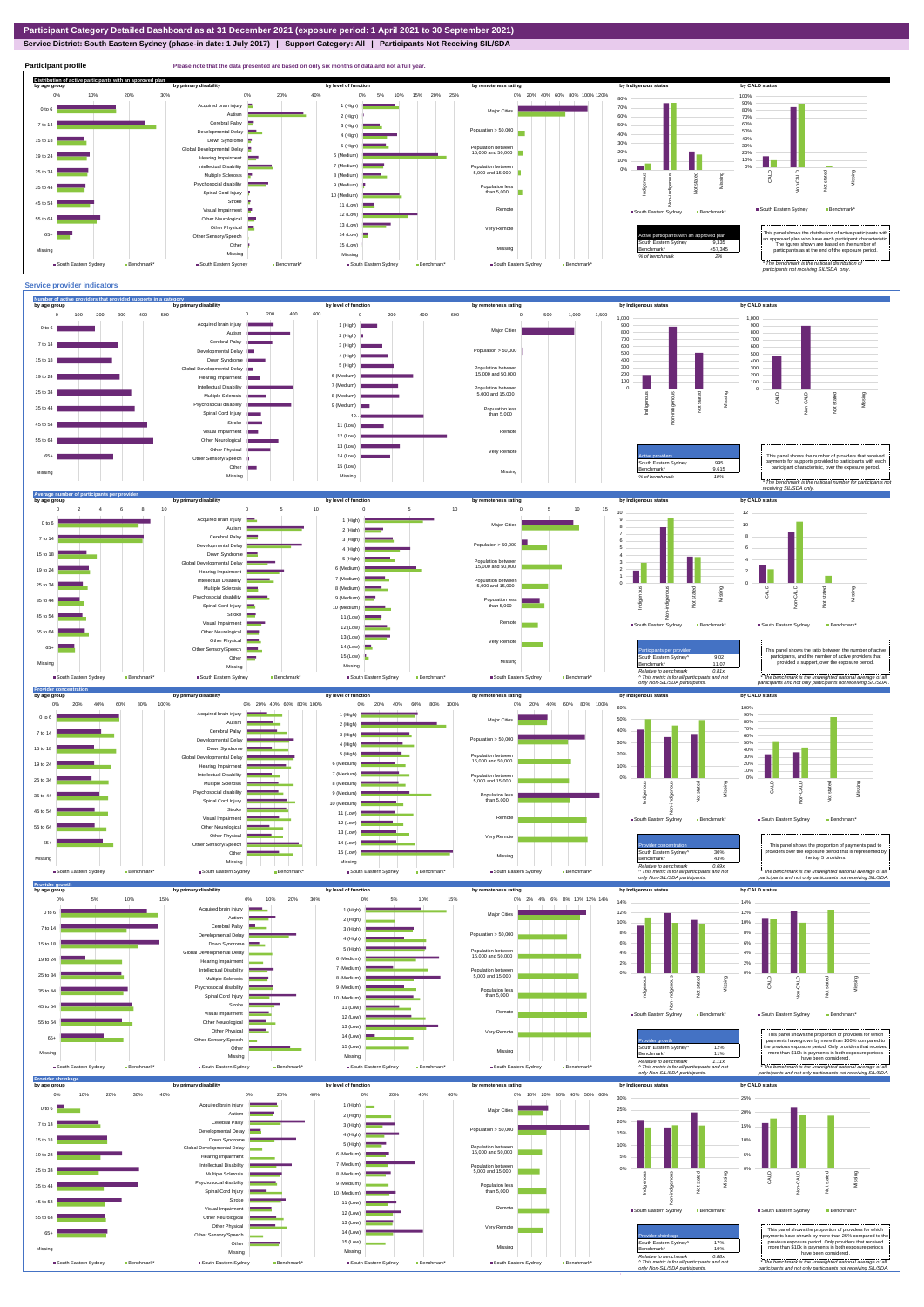**Service District: South Eastern Sydney (phase-in date: 1 July 2017) | Support Category: All | Participants Not Receiving SIL/SDA**

**Participant profile Please note that the data presented are based on only six months of data and not a full year. Distribution of active participants with an approved plan** by age group by primary disability by remoteness rating by hdigenous status by CALD status 0% 5% 10% 15% 20% 25% 0% 20% 40% 60% 80% 100% 120% 0% 10% 20% 30% 0% 20% 40% 80% 100% ed brain injury 90% 1 (High) 70%  $\overline{\phantom{0}}$ 0 to 6 Major Cities 80% Autism **I** 2 (High) 60% 70% Cerebral Palsy 60% 7 to 14 3 (High) 50% Developmental Delay Population > 50,000 m 40% 4 (High) 40% 50%  $15 \text{ to } 18$ Down Syndrome **Contract Contract** 5 (High) 30% 30% Global Developmental Delay Population between 15,000 and 50,000 20% 6 (Medium) 10% 20% 19 to 24 Hearing Impairment ٠h 10% 7 (Medium) Intellectual Disability 0% Population between 5,000 and 15,000 0% Missing 25 to 34 Multiple Sclerosis 8 (Medium) CALD Non-CALD anous Non-indigenous .<br>cial disability Missing Indigeno 9 (Medium) Population less than 5,000 nstated in 1916.<br>Note 35 to 44  $\overline{9}$ Spinal Cord Injury 출 10 (Medium) Stroke 45 to 54 ÷ 11 (Low) å South Eastern Sydney Benchmark Visual Impairment Remote South Eastern Sydney Benchmark 12 (Low) 55 to 64 Other Neurological 13 (Low) Other Physical Very Remote Active participants with an approved plan This panel shows the distribution of active participants with an approved plan who have each participant characteristic. 65+ Sensory/Speech 14 (Low) Other 15 (Low) South Eastern Sydney 9,335 The figures shown are based on the number of participants as at the end of the exposure period. Missing Benchmark\* 457,345 Missing Missing Missing *% of benchmark 2% The benchmark is the nation participants not receiving SIL/SDA only.* ■ South Eastern Sydney Benchmark\* South Eastern Sydney Benchmark ■ South Eastern Sydney South Eastern Sydney Benchmark